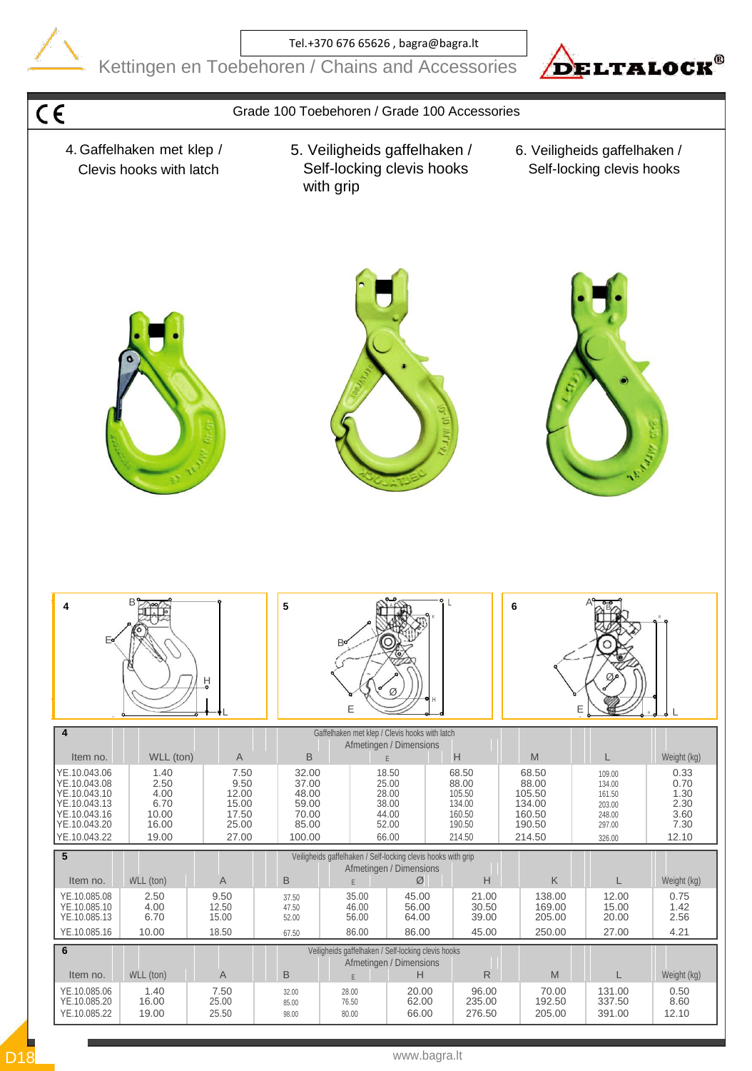